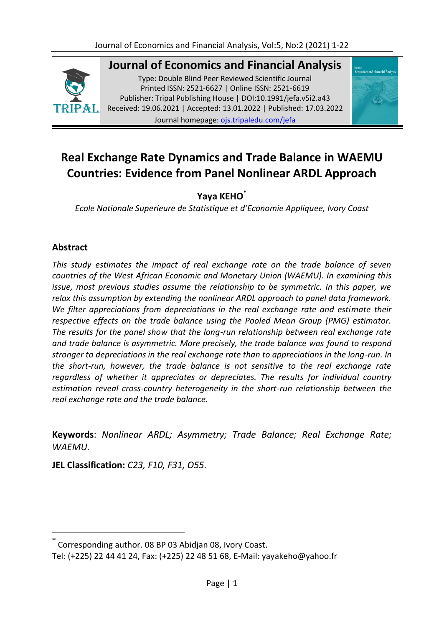

**Journal of Economics and Financial Analysis** 

Type: Double Blind Peer Reviewed Scientific Journal Printed ISSN: 2521-6627 | Online ISSN: 2521-6619 Publisher: Tripal Publishing House | DOI:10.1991/jefa.v5i2.a43 Received: 19.06.2021 | Accepted: 13.01.2022 | Published: 17.03.2022 Journal homepage: [ojs.tripaledu.com/jefa](file:///C:/Users/DELL/AppData/Roaming/Microsoft/Word/www.ojs.tripaledu.com/jefa)



# **Real Exchange Rate Dynamics and Trade Balance in WAEMU Countries: Evidence from Panel Nonlinear ARDL Approach**

# **Yaya KEHO\***

*Ecole Nationale Superieure de Statistique et d'Economie Appliquee, Ivory Coast*

# **Abstract**

*This study estimates the impact of real exchange rate on the trade balance of seven countries of the West African Economic and Monetary Union (WAEMU). In examining this issue, most previous studies assume the relationship to be symmetric. In this paper, we relax this assumption by extending the nonlinear ARDL approach to panel data framework. We filter appreciations from depreciations in the real exchange rate and estimate their respective effects on the trade balance using the Pooled Mean Group (PMG) estimator. The results for the panel show that the long-run relationship between real exchange rate and trade balance is asymmetric. More precisely, the trade balance was found to respond stronger to depreciations in the real exchange rate than to appreciations in the long-run. In the short-run, however, the trade balance is not sensitive to the real exchange rate regardless of whether it appreciates or depreciates. The results for individual country estimation reveal cross-country heterogeneity in the short-run relationship between the real exchange rate and the trade balance.* 

**Keywords**: *Nonlinear ARDL; Asymmetry; Trade Balance; Real Exchange Rate; WAEMU.*

**JEL Classification:** *C23, F10, F31, O55.* 

<sup>\*</sup> Corresponding author. 08 BP 03 Abidjan 08, Ivory Coast.

Tel: (+225) 22 44 41 24, Fax: (+225) 22 48 51 68, E-Mail: yayakeho@yahoo.fr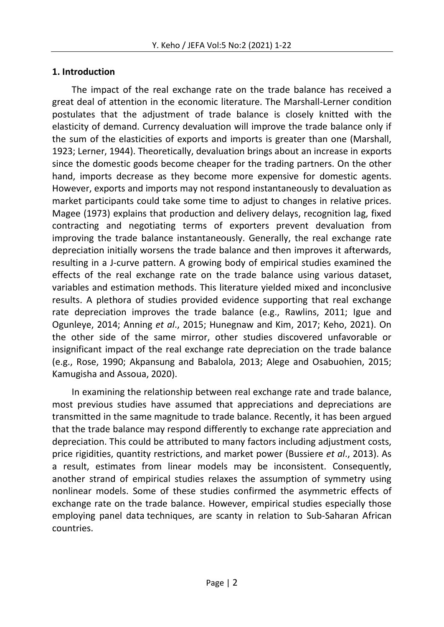# **1. Introduction**

The impact of the real exchange rate on the trade balance has received a great deal of attention in the economic literature. The Marshall-Lerner condition postulates that the adjustment of trade balance is closely knitted with the elasticity of demand. Currency devaluation will improve the trade balance only if the sum of the elasticities of exports and imports is greater than one (Marshall, 1923; Lerner, 1944). Theoretically, devaluation brings about an increase in exports since the domestic goods become cheaper for the trading partners. On the other hand, imports decrease as they become more expensive for domestic agents. However, exports and imports may not respond instantaneously to devaluation as market participants could take some time to adjust to changes in relative prices. Magee (1973) explains that production and delivery delays, recognition lag, fixed contracting and negotiating terms of exporters prevent devaluation from improving the trade balance instantaneously. Generally, the real exchange rate depreciation initially worsens the trade balance and then improves it afterwards, resulting in a J-curve pattern. A growing body of empirical studies examined the effects of the real exchange rate on the trade balance using various dataset, variables and estimation methods. This literature yielded mixed and inconclusive results. A plethora of studies provided evidence supporting that real exchange rate depreciation improves the trade balance (e.g., Rawlins, 2011; Igue and Ogunleye, 2014; Anning *et al*., 2015; Hunegnaw and Kim, 2017; Keho, 2021). On the other side of the same mirror, other studies discovered unfavorable or insignificant impact of the real exchange rate depreciation on the trade balance (e.g., Rose, 1990; Akpansung and Babalola, 2013; Alege and Osabuohien, 2015; Kamugisha and Assoua, 2020).

In examining the relationship between real exchange rate and trade balance, most previous studies have assumed that appreciations and depreciations are transmitted in the same magnitude to trade balance. Recently, it has been argued that the trade balance may respond differently to exchange rate appreciation and depreciation. This could be attributed to many factors including adjustment costs, price rigidities, quantity restrictions, and market power (Bussiere *et al*., 2013). As a result, estimates from linear models may be inconsistent. Consequently, another strand of empirical studies relaxes the assumption of symmetry using nonlinear models. Some of these studies confirmed the asymmetric effects of exchange rate on the trade balance. However, empirical studies especially those employing panel data techniques, are scanty in relation to Sub-Saharan African countries.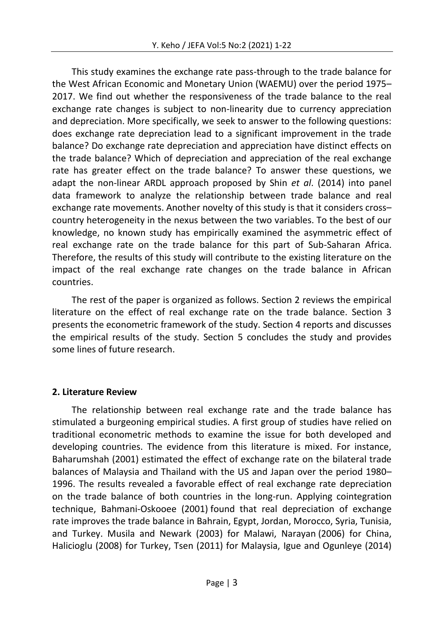This study examines the exchange rate pass-through to the trade balance for the West African Economic and Monetary Union (WAEMU) over the period 1975– 2017. We find out whether the responsiveness of the trade balance to the real exchange rate changes is subject to non-linearity due to currency appreciation and depreciation. More specifically, we seek to answer to the following questions: does exchange rate depreciation lead to a significant improvement in the trade balance? Do exchange rate depreciation and appreciation have distinct effects on the trade balance? Which of depreciation and appreciation of the real exchange rate has greater effect on the trade balance? To answer these questions, we adapt the non-linear ARDL approach proposed by Shin *et al*. (2014) into panel data framework to analyze the relationship between trade balance and real exchange rate movements. Another novelty of this study is that it considers cross– country heterogeneity in the nexus between the two variables. To the best of our knowledge, no known study has empirically examined the asymmetric effect of real exchange rate on the trade balance for this part of Sub-Saharan Africa. Therefore, the results of this study will contribute to the existing literature on the impact of the real exchange rate changes on the trade balance in African countries.

The rest of the paper is organized as follows. Section 2 reviews the empirical literature on the effect of real exchange rate on the trade balance. Section 3 presents the econometric framework of the study. Section 4 reports and discusses the empirical results of the study. Section 5 concludes the study and provides some lines of future research.

#### **2. Literature Review**

The relationship between real exchange rate and the trade balance has stimulated a burgeoning empirical studies. A first group of studies have relied on traditional econometric methods to examine the issue for both developed and developing countries. The evidence from this literature is mixed. For instance, Baharumshah (2001) estimated the effect of exchange rate on the bilateral trade balances of Malaysia and Thailand with the US and Japan over the period 1980– 1996. The results revealed a favorable effect of real exchange rate depreciation on the trade balance of both countries in the long-run. Applying cointegration technique, [Bahmani-Oskooee \(2001\)](https://www.elibrary.imf.org/view/IMF001/06922-9781451848717/06922-9781451848717/back.xml#R9) found that real depreciation of exchange rate improves the trade balance in Bahrain, Egypt, Jordan, Morocco, Syria, Tunisia, and Turkey. Musila and Newark (2003) for Malawi, Narayan (2006) for China, Halicioglu (2008) for Turkey, Tsen (2011) for Malaysia, Igue and Ogunleye (2014)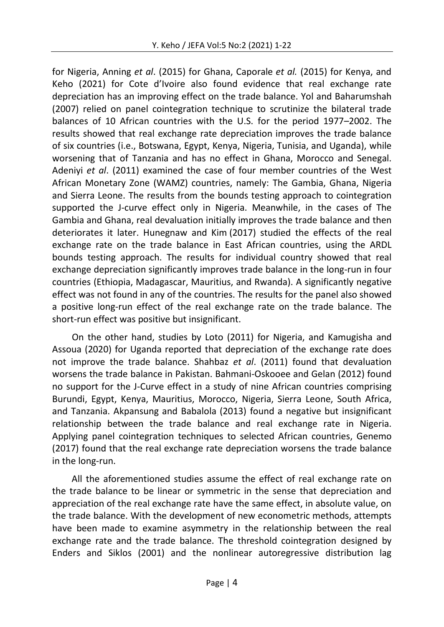for Nigeria, Anning *et al*. (2015) for Ghana, Caporale *et al.* (2015) for Kenya, and Keho (2021) for Cote d'Ivoire also found evidence that real exchange rate depreciation has an improving effect on the trade balance. Yol and Baharumshah (2007) relied on panel cointegration technique to scrutinize the bilateral trade balances of 10 African countries with the U.S. for the period 1977–2002. The results showed that real exchange rate depreciation improves the trade balance of six countries (i.e., Botswana, Egypt, Kenya, Nigeria, Tunisia, and Uganda), while worsening that of Tanzania and has no effect in Ghana, Morocco and Senegal. Adeniyi *et al*. (2011) examined the case of four member countries of the West African Monetary Zone (WAMZ) countries, namely: The Gambia, Ghana, Nigeria and Sierra Leone. The results from the bounds testing approach to cointegration supported the J-curve effect only in Nigeria. Meanwhile, in the cases of The Gambia and Ghana, real devaluation initially improves the trade balance and then deteriorates it later. Hunegnaw and Kim (2017) studied the effects of the real exchange rate on the trade balance in East African countries, using the ARDL bounds testing approach. The results for individual country showed that real exchange depreciation significantly improves trade balance in the long-run in four countries (Ethiopia, Madagascar, Mauritius, and Rwanda). A significantly negative effect was not found in any of the countries. The results for the panel also showed a positive long-run effect of the real exchange rate on the trade balance. The short-run effect was positive but insignificant.

On the other hand, studies by Loto (2011) for Nigeria, and Kamugisha and Assoua (2020) for Uganda reported that depreciation of the exchange rate does not improve the trade balance. Shahbaz *et al*. (2011) found that devaluation worsens the trade balance in Pakistan. Bahmani-Oskooee and Gelan (2012) found no support for the J-Curve effect in a study of nine African countries comprising Burundi, Egypt, Kenya, Mauritius, Morocco, Nigeria, Sierra Leone, South Africa, and Tanzania. Akpansung and Babalola (2013) found a negative but insignificant relationship between the trade balance and real exchange rate in Nigeria. Applying panel cointegration techniques to selected African countries, Genemo (2017) found that the real exchange rate depreciation worsens the trade balance in the long-run.

All the aforementioned studies assume the effect of real exchange rate on the trade balance to be linear or symmetric in the sense that depreciation and appreciation of the real exchange rate have the same effect, in absolute value, on the trade balance. With the development of new econometric methods, attempts have been made to examine asymmetry in the relationship between the real exchange rate and the trade balance. The threshold cointegration designed by Enders and Siklos (2001) and the nonlinear autoregressive distribution lag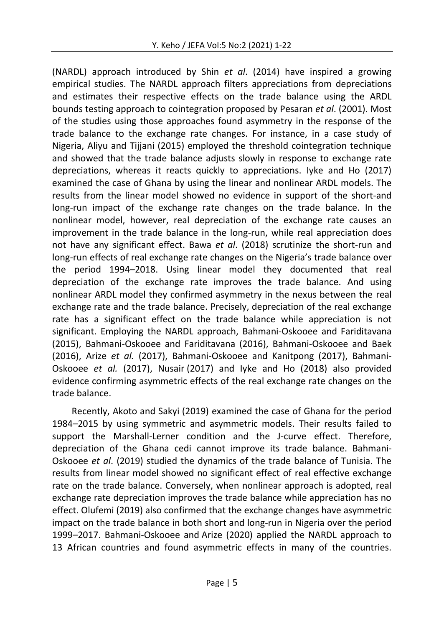(NARDL) approach introduced by Shin *et al*. (2014) have inspired a growing empirical studies. The NARDL approach filters appreciations from depreciations and estimates their respective effects on the trade balance using the ARDL bounds testing approach to cointegration proposed by Pesaran *et al*. (2001). Most of the studies using those approaches found asymmetry in the response of the trade balance to the exchange rate changes. For instance, in a case study of Nigeria, Aliyu and Tijjani (2015) employed the threshold cointegration technique and showed that the trade balance adjusts slowly in response to exchange rate depreciations, whereas it reacts quickly to appreciations. Iyke and Ho (2017) examined the case of Ghana by using the linear and nonlinear ARDL models. The results from the linear model showed no evidence in support of the short-and long-run impact of the exchange rate changes on the trade balance. In the nonlinear model, however, real depreciation of the exchange rate causes an improvement in the trade balance in the long-run, while real appreciation does not have any significant effect. Bawa *et al*. (2018) scrutinize the short-run and long-run effects of real exchange rate changes on the Nigeria's trade balance over the period 1994–2018. Using linear model they documented that real depreciation of the exchange rate improves the trade balance. And using nonlinear ARDL model they confirmed asymmetry in the nexus between the real exchange rate and the trade balance. Precisely, depreciation of the real exchange rate has a significant effect on the trade balance while appreciation is not significant. Employing the NARDL approach, Bahmani-Oskooee and Fariditavana (2015), Bahmani-Oskooee and Fariditavana (2016), Bahmani-Oskooee and Baek (2016), Arize *et al.* (2017), Bahmani-Oskooee and Kanitpong (2017), Bahmani-Oskooee *et al.* (2017), Nusair (2017) and Iyke and Ho (2018) also provided evidence confirming asymmetric effects of the real exchange rate changes on the trade balance.

Recently, Akoto and Sakyi (2019) examined the case of Ghana for the period 1984–2015 by using symmetric and asymmetric models. Their results failed to support the Marshall-Lerner condition and the J-curve effect. Therefore, depreciation of the Ghana cedi cannot improve its trade balance. Bahmani-Oskooee *et al*. (2019) studied the dynamics of the trade balance of Tunisia. The results from linear model showed no significant effect of real effective exchange rate on the trade balance. Conversely, when nonlinear approach is adopted, real exchange rate depreciation improves the trade balance while appreciation has no effect. Olufemi (2019) also confirmed that the exchange changes have asymmetric impact on the trade balance in both short and long-run in Nigeria over the period 1999–2017. Bahmani-Oskooee and Arize (2020) applied the NARDL approach to 13 African countries and found asymmetric effects in many of the countries.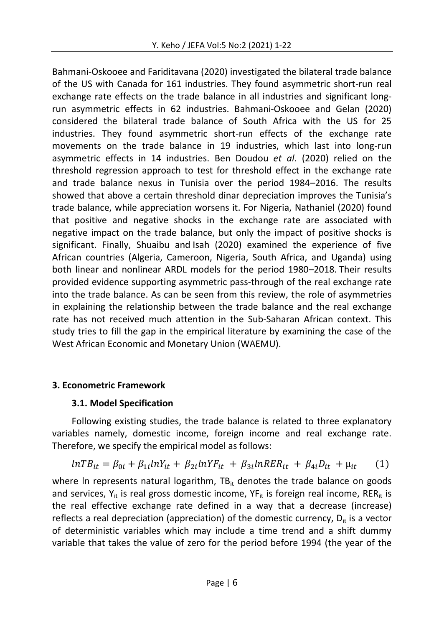Bahmani-Oskooee and Fariditavana (2020) investigated the bilateral trade balance of the US with Canada for 161 industries. They found asymmetric short-run real exchange rate effects on the trade balance in all industries and significant longrun asymmetric effects in 62 industries. Bahmani-Oskooee and Gelan (2020) considered the bilateral trade balance of South Africa with the US for 25 industries. They found asymmetric short-run effects of the exchange rate movements on the trade balance in 19 industries, which last into long-run asymmetric effects in 14 industries. Ben Doudou *et al*. (2020) relied on the threshold regression approach to test for threshold effect in the exchange rate and trade balance nexus in Tunisia over the period 1984–2016. The results showed that above a certain threshold dinar depreciation improves the Tunisia's trade balance, while appreciation worsens it. For Nigeria, Nathaniel (2020) found that positive and negative shocks in the exchange rate are associated with negative impact on the trade balance, but only the impact of positive shocks is significant. Finally, Shuaibu and Isah (2020) examined the experience of five African countries (Algeria, Cameroon, Nigeria, South Africa, and Uganda) using both linear and nonlinear ARDL models for the period 1980–2018. Their results provided evidence supporting asymmetric pass-through of the real exchange rate into the trade balance. As can be seen from this review, the role of asymmetries in explaining the relationship between the trade balance and the real exchange rate has not received much attention in the Sub-Saharan African context. This study tries to fill the gap in the empirical literature by examining the case of the West African Economic and Monetary Union (WAEMU).

# **3. Econometric Framework**

# **3.1. Model Specification**

Following existing studies, the trade balance is related to three explanatory variables namely, domestic income, foreign income and real exchange rate. Therefore, we specify the empirical model as follows:

$$
lnTB_{it} = \beta_{0i} + \beta_{1i}lnY_{it} + \beta_{2i}lnYF_{it} + \beta_{3i}lnRER_{it} + \beta_{4i}D_{it} + \mu_{it}
$$
 (1)

where In represents natural logarithm,  $TB_{it}$  denotes the trade balance on goods and services,  $Y_{it}$  is real gross domestic income,  $YF_{it}$  is foreign real income, RER<sub>it</sub> is the real effective exchange rate defined in a way that a decrease (increase) reflects a real depreciation (appreciation) of the domestic currency,  $D_{it}$  is a vector of deterministic variables which may include a time trend and a shift dummy variable that takes the value of zero for the period before 1994 (the year of the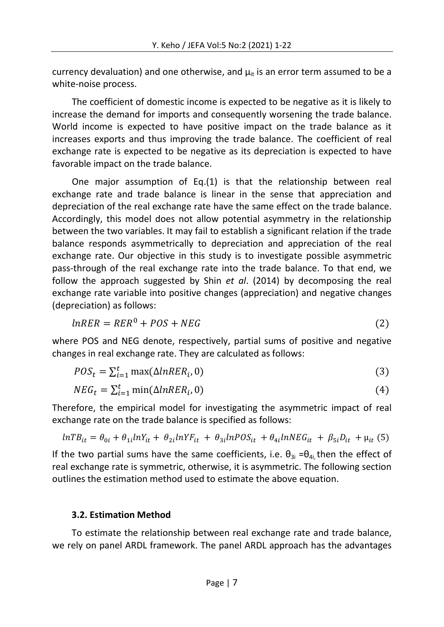currency devaluation) and one otherwise, and  $\mu_{\text{tr}}$  is an error term assumed to be a white-noise process.

The coefficient of domestic income is expected to be negative as it is likely to increase the demand for imports and consequently worsening the trade balance. World income is expected to have positive impact on the trade balance as it increases exports and thus improving the trade balance. The coefficient of real exchange rate is expected to be negative as its depreciation is expected to have favorable impact on the trade balance.

One major assumption of Eq.(1) is that the relationship between real exchange rate and trade balance is linear in the sense that appreciation and depreciation of the real exchange rate have the same effect on the trade balance. Accordingly, this model does not allow potential asymmetry in the relationship between the two variables. It may fail to establish a significant relation if the trade balance responds asymmetrically to depreciation and appreciation of the real exchange rate. Our objective in this study is to investigate possible asymmetric pass-through of the real exchange rate into the trade balance. To that end, we follow the approach suggested by Shin *et al*. (2014) by decomposing the real exchange rate variable into positive changes (appreciation) and negative changes (depreciation) as follows:

$$
lnRER = RER^0 + POS + NEG \qquad (2)
$$

where POS and NEG denote, respectively, partial sums of positive and negative changes in real exchange rate. They are calculated as follows:

$$
POS_{t} = \sum_{i=1}^{t} \max(\Delta ln RER_{i}, 0)
$$
\n(3)

$$
NEG_{t} = \sum_{i=1}^{t} \min(\Delta l n R E R_{i}, 0)
$$
\n
$$
(4)
$$

Therefore, the empirical model for investigating the asymmetric impact of real exchange rate on the trade balance is specified as follows:

$$
lnTB_{it} = \theta_{0i} + \theta_{1i}lnY_{it} + \theta_{2i}lnYF_{it} + \theta_{3i}lnPOS_{it} + \theta_{4i}lnNEG_{it} + \beta_{5i}D_{it} + \mu_{it}
$$
 (5)

If the two partial sums have the same coefficients, i.e.  $\theta_{3i} = \theta_{4i}$ , then the effect of real exchange rate is symmetric, otherwise, it is asymmetric. The following section outlines the estimation method used to estimate the above equation.

#### **3.2. Estimation Method**

To estimate the relationship between real exchange rate and trade balance, we rely on panel ARDL framework. The panel ARDL approach has the advantages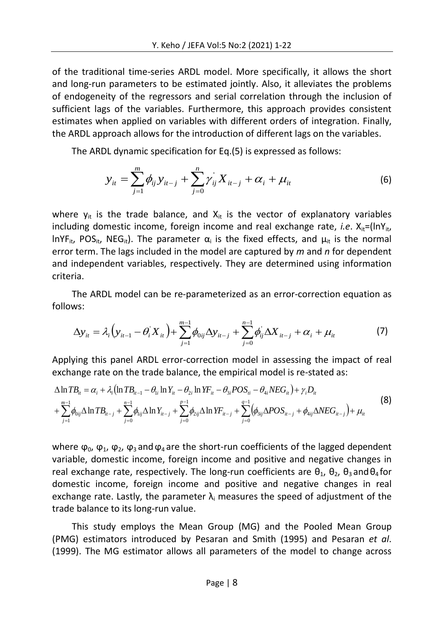of the traditional time-series ARDL model. More specifically, it allows the short and long-run parameters to be estimated jointly. Also, it alleviates the problems of endogeneity of the regressors and serial correlation through the inclusion of sufficient lags of the variables. Furthermore, this approach provides consistent estimates when applied on variables with different orders of integration. Finally, the ARDL approach allows for the introduction of different lags on the variables.

The ARDL dynamic specification for Eq.(5) is expressed as follows:

$$
y_{it} = \sum_{j=1}^{m} \phi_{ij} y_{it-j} + \sum_{j=0}^{n} \gamma_{ij} X_{it-j} + \alpha_i + \mu_{it}
$$
 (6)

where  $y_{it}$  is the trade balance, and  $X_{it}$  is the vector of explanatory variables including domestic income, foreign income and real exchange rate, *i.e.*  $X_{it} = (lnY_{it})$ InYF<sub>it</sub>, POS<sub>it</sub>, NEG<sub>it</sub>). The parameter  $\alpha_i$  is the fixed effects, and  $\mu_{it}$  is the normal error term. The lags included in the model are captured by *m* and *n* for dependent and independent variables, respectively. They are determined using information criteria.

The ARDL model can be re-parameterized as an error-correction equation as follows:

$$
\Delta y_{it} = \lambda_i \Big( y_{it-1} - \theta_i X_{it} \Big) + \sum_{j=1}^{m-1} \phi_{0ij} \Delta y_{it-j} + \sum_{j=0}^{n-1} \phi_{ij} \Delta X_{it-j} + \alpha_i + \mu_{it}
$$
(7)

Applying this panel ARDL error-correction model in assessing the impact of real exchange rate on the trade balance, the empirical model is re-stated as:

$$
\Delta \ln TB_{ii} = \alpha_i + \lambda_i (\ln TB_{ii-1} - \theta_{1i} \ln Y_{ii} - \theta_{2i} \ln Y_{ii} - \theta_{3i} POS_{ii} - \theta_{4i}NEG_{ii}) + \gamma_i D_{ii}
$$
\n
$$
+ \sum_{j=1}^{m-1} \phi_{0ij} \Delta \ln TB_{ii-j} + \sum_{j=0}^{n-1} \phi_{1ij} \Delta \ln Y_{ii-j} + \sum_{j=0}^{p-1} \phi_{2ij} \Delta \ln Y_{ii-j} + \sum_{j=0}^{q-1} (\phi_{3ij} \Delta POS_{ii-j} + \phi_{4ij} \Delta NEG_{ii-j}) + \mu_i
$$
\n(8)

where  $φ_0$ ,  $φ_1$ ,  $φ_2$ ,  $φ_3$  and  $φ_4$  are the short-run coefficients of the lagged dependent variable, domestic income, foreign income and positive and negative changes in real exchange rate, respectively. The long-run coefficients are  $\theta_1$ ,  $\theta_2$ ,  $\theta_3$  and  $\theta_4$  for domestic income, foreign income and positive and negative changes in real exchange rate. Lastly, the parameter  $\lambda_i$  measures the speed of adjustment of the trade balance to its long-run value.

This study employs the Mean Group (MG) and the Pooled Mean Group (PMG) estimators introduced by Pesaran and Smith (1995) and Pesaran *et al*. (1999). The MG estimator allows all parameters of the model to change across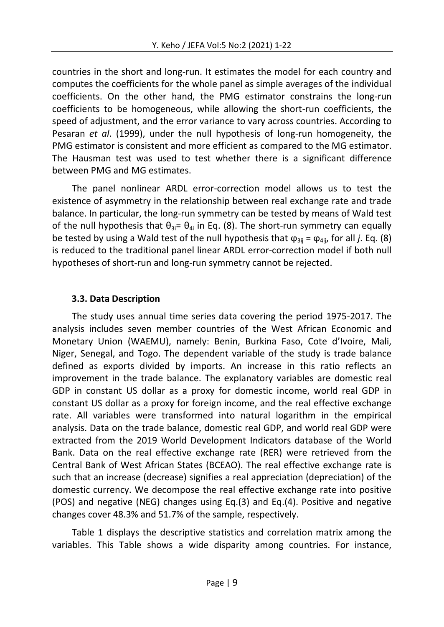countries in the short and long-run. It estimates the model for each country and computes the coefficients for the whole panel as simple averages of the individual coefficients. On the other hand, the PMG estimator constrains the long-run coefficients to be homogeneous, while allowing the short-run coefficients, the speed of adjustment, and the error variance to vary across countries. According to Pesaran *et al*. (1999), under the null hypothesis of long-run homogeneity, the PMG estimator is consistent and more efficient as compared to the MG estimator. The Hausman test was used to test whether there is a significant difference between PMG and MG estimates.

The panel nonlinear ARDL error-correction model allows us to test the existence of asymmetry in the relationship between real exchange rate and trade balance. In particular, the long-run symmetry can be tested by means of Wald test of the null hypothesis that  $\theta_{3i} = \theta_{4i}$  in Eq. (8). The short-run symmetry can equally be tested by using a Wald test of the null hypothesis that  $\varphi_{3ii} = \varphi_{4ii}$ , for all *j*. Eq. (8) is reduced to the traditional panel linear ARDL error-correction model if both null hypotheses of short-run and long-run symmetry cannot be rejected.

## **3.3. Data Description**

The study uses annual time series data covering the period 1975-2017. The analysis includes seven member countries of the West African Economic and Monetary Union (WAEMU), namely: Benin, Burkina Faso, Cote d'Ivoire, Mali, Niger, Senegal, and Togo. The dependent variable of the study is trade balance defined as exports divided by imports. An increase in this ratio reflects an improvement in the trade balance. The explanatory variables are domestic real GDP in constant US dollar as a proxy for domestic income, world real GDP in constant US dollar as a proxy for foreign income, and the real effective exchange rate. All variables were transformed into natural logarithm in the empirical analysis. Data on the trade balance, domestic real GDP, and world real GDP were extracted from the 2019 World Development Indicators database of the World Bank. Data on the real effective exchange rate (RER) were retrieved from the Central Bank of West African States (BCEAO). The real effective exchange rate is such that an increase (decrease) signifies a real appreciation (depreciation) of the domestic currency. We decompose the real effective exchange rate into positive (POS) and negative (NEG) changes using Eq.(3) and Eq.(4). Positive and negative changes cover 48.3% and 51.7% of the sample, respectively.

Table 1 displays the descriptive statistics and correlation matrix among the variables. This Table shows a wide disparity among countries. For instance,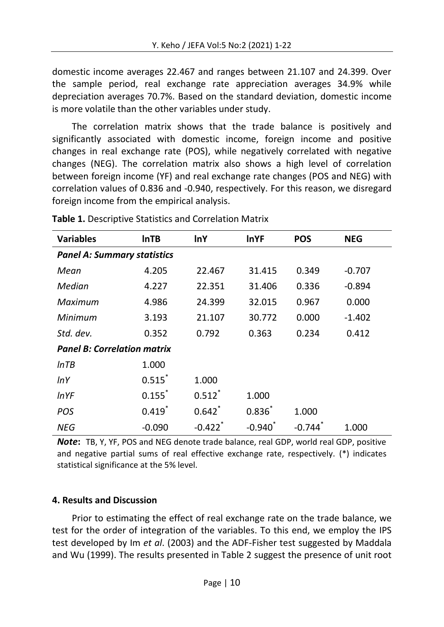domestic income averages 22.467 and ranges between 21.107 and 24.399. Over the sample period, real exchange rate appreciation averages 34.9% while depreciation averages 70.7%. Based on the standard deviation, domestic income is more volatile than the other variables under study.

The correlation matrix shows that the trade balance is positively and significantly associated with domestic income, foreign income and positive changes in real exchange rate (POS), while negatively correlated with negative changes (NEG). The correlation matrix also shows a high level of correlation between foreign income (YF) and real exchange rate changes (POS and NEG) with correlation values of 0.836 and -0.940, respectively. For this reason, we disregard foreign income from the empirical analysis.

| <b>Variables</b>                   | <b>InTB</b> | <b>InY</b>            | <b>InYF</b> | <b>POS</b> | <b>NEG</b> |  |  |
|------------------------------------|-------------|-----------------------|-------------|------------|------------|--|--|
| <b>Panel A: Summary statistics</b> |             |                       |             |            |            |  |  |
| Mean                               | 4.205       | 22.467                | 31.415      | 0.349      | $-0.707$   |  |  |
| Median                             | 4.227       | 22.351                | 31.406      | 0.336      | $-0.894$   |  |  |
| Maximum                            | 4.986       | 24.399                | 32.015      | 0.967      | 0.000      |  |  |
| Minimum                            | 3.193       | 21.107                | 30.772      | 0.000      | $-1.402$   |  |  |
| Std. dev.                          | 0.352       | 0.792                 | 0.363       | 0.234      | 0.412      |  |  |
| <b>Panel B: Correlation matrix</b> |             |                       |             |            |            |  |  |
| InTB                               | 1.000       |                       |             |            |            |  |  |
| InY                                | 0.515       | 1.000                 |             |            |            |  |  |
| InYF                               | 0.155       | $0.512$ <sup>*</sup>  | 1.000       |            |            |  |  |
| <b>POS</b>                         | $0.419*$    | $0.642*$              | $0.836^{*}$ | 1.000      |            |  |  |
| <b>NEG</b>                         | $-0.090$    | $-0.422$ <sup>*</sup> | $-0.940$    | $-0.744$   | 1.000      |  |  |

**Table 1.** Descriptive Statistics and Correlation Matrix

*Note***:** TB, Y, YF, POS and NEG denote trade balance, real GDP, world real GDP, positive and negative partial sums of real effective exchange rate, respectively. (\*) indicates statistical significance at the 5% level.

#### **4. Results and Discussion**

Prior to estimating the effect of real exchange rate on the trade balance, we test for the order of integration of the variables. To this end, we employ the IPS test developed by Im *et al*. (2003) and the ADF-Fisher test suggested by Maddala and Wu (1999). The results presented in Table 2 suggest the presence of unit root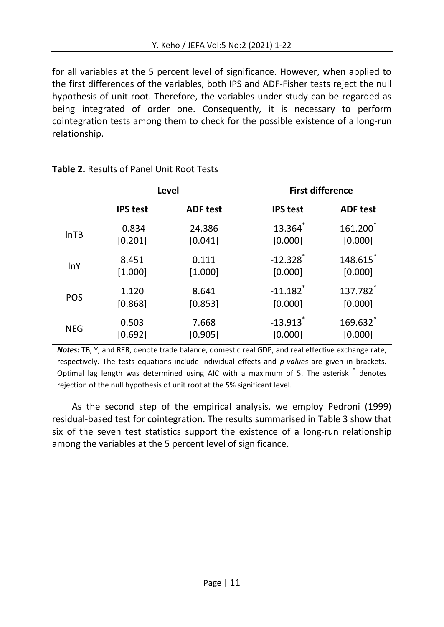for all variables at the 5 percent level of significance. However, when applied to the first differences of the variables, both IPS and ADF-Fisher tests reject the null hypothesis of unit root. Therefore, the variables under study can be regarded as being integrated of order one. Consequently, it is necessary to perform cointegration tests among them to check for the possible existence of a long-run relationship.

|            |                 | Level           | <b>First difference</b> |                 |  |  |
|------------|-----------------|-----------------|-------------------------|-----------------|--|--|
|            | <b>IPS test</b> | <b>ADF</b> test | <b>IPS test</b>         | <b>ADF</b> test |  |  |
| InTB       | $-0.834$        | 24.386          | $-13.364$               | 161.200         |  |  |
|            | [0.201]         | [0.041]         | [0.000]                 | [0.000]         |  |  |
| <b>InY</b> | 8.451           | 0.111           | $-12.328$ <sup>*</sup>  | 148.615         |  |  |
|            | [1.000]         | [1.000]         | [0.000]                 | [0.000]         |  |  |
| <b>POS</b> | 1.120           | 8.641           | $-11.182$ <sup>*</sup>  | 137.782         |  |  |
|            | [0.868]         | [0.853]         | [0.000]                 | [0.000]         |  |  |
| <b>NEG</b> | 0.503           | 7.668           | $-13.913$               | 169.632         |  |  |
|            | [0.692]         | [0.905]         | [0.000]                 | [0.000]         |  |  |

## **Table 2.** Results of Panel Unit Root Tests

*Notes***:** TB, Y, and RER, denote trade balance, domestic real GDP, and real effective exchange rate, respectively. The tests equations include individual effects and *p-values* are given in brackets. Optimal lag length was determined using AIC with a maximum of 5. The asterisk  $\check{\phantom{a}}$  denotes rejection of the null hypothesis of unit root at the 5% significant level.

As the second step of the empirical analysis, we employ Pedroni (1999) residual-based test for cointegration. The results summarised in Table 3 show that six of the seven test statistics support the existence of a long-run relationship among the variables at the 5 percent level of significance.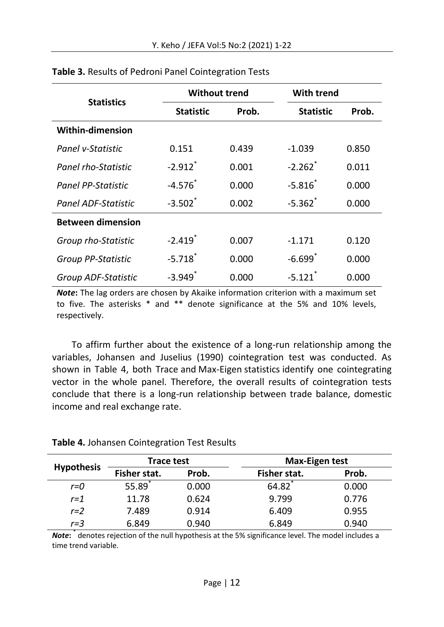| <b>Statistics</b>          | <b>Without trend</b>  |       | <b>With trend</b>     |       |  |
|----------------------------|-----------------------|-------|-----------------------|-------|--|
|                            | <b>Statistic</b>      | Prob. | <b>Statistic</b>      | Prob. |  |
| Within-dimension           |                       |       |                       |       |  |
| Panel v-Statistic          | 0.151                 | 0.439 | $-1.039$              | 0.850 |  |
| Panel rho-Statistic        | $-2.912$ <sup>*</sup> | 0.001 | $-2.262$ <sup>*</sup> | 0.011 |  |
| <b>Panel PP-Statistic</b>  | $-4.576$              | 0.000 | $-5.816$              | 0.000 |  |
| Panel ADF-Statistic        | $-3.502$ <sup>*</sup> | 0.002 | $-5.362$ *            | 0.000 |  |
| <b>Between dimension</b>   |                       |       |                       |       |  |
| Group rho-Statistic        | $-2.419$ *            | 0.007 | $-1.171$              | 0.120 |  |
| <b>Group PP-Statistic</b>  | $-5.718$ <sup>*</sup> | 0.000 | $-6.699$ <sup>*</sup> | 0.000 |  |
| <b>Group ADF-Statistic</b> | $-3.949$ <sup>*</sup> | 0.000 | $-5.121$ <sup>*</sup> | 0.000 |  |

**Table 3.** Results of Pedroni Panel Cointegration Tests

*Note***:** The lag orders are chosen by Akaike information criterion with a maximum set to five. The asterisks \* and \*\* denote significance at the 5% and 10% levels, respectively.

To affirm further about the existence of a long-run relationship among the variables, Johansen and Juselius (1990) cointegration test was conducted. As shown in Table 4, both Trace and Max-Eigen statistics identify one cointegrating vector in the whole panel. Therefore, the overall results of cointegration tests conclude that there is a long-run relationship between trade balance, domestic income and real exchange rate.

| <b>Hypothesis</b> | <b>Trace test</b> |       | <b>Max-Eigen test</b> |       |  |
|-------------------|-------------------|-------|-----------------------|-------|--|
|                   | Fisher stat.      | Prob. | Fisher stat.          | Prob. |  |
| $r = 0$           | 55.89             | 0.000 | 64.82                 | 0.000 |  |
| $r=1$             | 11.78             | 0.624 | 9.799                 | 0.776 |  |
| $r=2$             | 7.489             | 0.914 | 6.409                 | 0.955 |  |
| $r = 3$           | 6.849             | 0.940 | 6.849                 | 0.940 |  |

**Table 4.** Johansen Cointegration Test Results

*Note***:** \* denotes rejection of the null hypothesis at the 5% significance level. The model includes a time trend variable.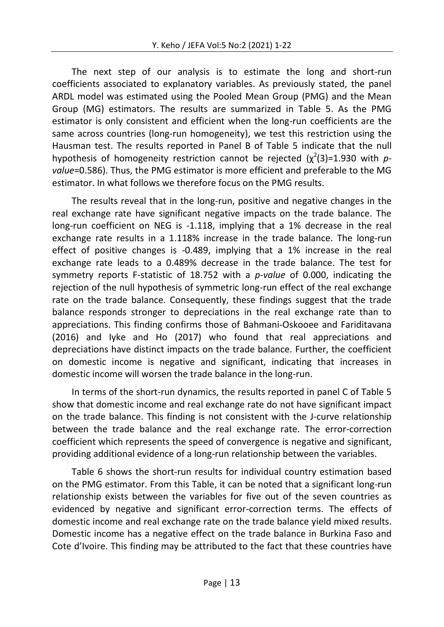The next step of our analysis is to estimate the long and short-run coefficients associated to explanatory variables. As previously stated, the panel ARDL model was estimated using the Pooled Mean Group (PMG) and the Mean Group (MG) estimators. The results are summarized in Table 5. As the PMG estimator is only consistent and efficient when the long-run coefficients are the same across countries (long-run homogeneity), we test this restriction using the Hausman test. The results reported in Panel B of Table 5 indicate that the null hypothesis of homogeneity restriction cannot be rejected (χ 2 (3)=1.930 with *pvalue*=0.586). Thus, the PMG estimator is more efficient and preferable to the MG estimator. In what follows we therefore focus on the PMG results.

The results reveal that in the long-run, positive and negative changes in the real exchange rate have significant negative impacts on the trade balance. The long-run coefficient on NEG is -1.118, implying that a 1% decrease in the real exchange rate results in a 1.118% increase in the trade balance. The long-run effect of positive changes is -0.489, implying that a 1% increase in the real exchange rate leads to a 0.489% decrease in the trade balance. The test for symmetry reports F-statistic of 18.752 with a *p-value* of 0.000, indicating the rejection of the null hypothesis of symmetric long-run effect of the real exchange rate on the trade balance. Consequently, these findings suggest that the trade balance responds stronger to depreciations in the real exchange rate than to appreciations. This finding confirms those of Bahmani-Oskooee and Fariditavana (2016) and Iyke and Ho (2017) who found that real appreciations and depreciations have distinct impacts on the trade balance. Further, the coefficient on domestic income is negative and significant, indicating that increases in domestic income will worsen the trade balance in the long-run.

In terms of the short-run dynamics, the results reported in panel C of Table 5 show that domestic income and real exchange rate do not have significant impact on the trade balance. This finding is not consistent with the J-curve relationship between the trade balance and the real exchange rate. The error-correction coefficient which represents the speed of convergence is negative and significant, providing additional evidence of a long-run relationship between the variables.

Table 6 shows the short-run results for individual country estimation based on the PMG estimator. From this Table, it can be noted that a significant long-run relationship exists between the variables for five out of the seven countries as evidenced by negative and significant error-correction terms. The effects of domestic income and real exchange rate on the trade balance yield mixed results. Domestic income has a negative effect on the trade balance in Burkina Faso and Cote d'Ivoire. This finding may be attributed to the fact that these countries have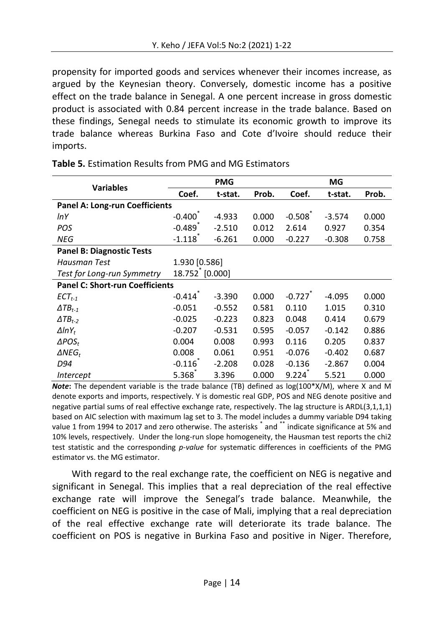propensity for imported goods and services whenever their incomes increase, as argued by the Keynesian theory. Conversely, domestic income has a positive effect on the trade balance in Senegal. A one percent increase in gross domestic product is associated with 0.84 percent increase in the trade balance. Based on these findings, Senegal needs to stimulate its economic growth to improve its trade balance whereas Burkina Faso and Cote d'Ivoire should reduce their imports.

| <b>Variables</b>                       | <b>PMG</b>     |          |       | <b>MG</b>             |          |       |
|----------------------------------------|----------------|----------|-------|-----------------------|----------|-------|
|                                        | Coef.          | t-stat.  | Prob. | Coef.                 | t-stat.  | Prob. |
| Panel A: Long-run Coefficients         |                |          |       |                       |          |       |
| InY                                    | $-0.400$       | -4.933   | 0.000 | $-0.508$              | $-3.574$ | 0.000 |
| POS                                    | $-0.489$       | $-2.510$ | 0.012 | 2.614                 | 0.927    | 0.354 |
| <b>NEG</b>                             | $-1.118$       | $-6.261$ | 0.000 | $-0.227$              | $-0.308$ | 0.758 |
| <b>Panel B: Diagnostic Tests</b>       |                |          |       |                       |          |       |
| Hausman Test                           | 1.930 [0.586]  |          |       |                       |          |       |
| Test for Long-run Symmetry             | 18.752 [0.000] |          |       |                       |          |       |
| <b>Panel C: Short-run Coefficients</b> |                |          |       |                       |          |       |
| $ECT_{t-1}$                            | $-0.414$       | $-3.390$ | 0.000 | $-0.727$ <sup>*</sup> | $-4.095$ | 0.000 |
| $\Delta TB_{t-1}$                      | $-0.051$       | $-0.552$ | 0.581 | 0.110                 | 1.015    | 0.310 |
| $\Delta TB_{t-2}$                      | $-0.025$       | $-0.223$ | 0.823 | 0.048                 | 0.414    | 0.679 |
| $\Delta ln Y_t$                        | $-0.207$       | $-0.531$ | 0.595 | $-0.057$              | $-0.142$ | 0.886 |
| $\triangle POS_{t}$                    | 0.004          | 0.008    | 0.993 | 0.116                 | 0.205    | 0.837 |
| $\triangle NEG_{t}$                    | 0.008          | 0.061    | 0.951 | $-0.076$              | $-0.402$ | 0.687 |
| D94                                    | $-0.116$       | $-2.208$ | 0.028 | $-0.136$              | -2.867   | 0.004 |
| Intercept                              | 5.368          | 3.396    | 0.000 | 9.224                 | 5.521    | 0.000 |

**Table 5.** Estimation Results from PMG and MG Estimators

*Note***:** The dependent variable is the trade balance (TB) defined as log(100\*X/M), where X and M denote exports and imports, respectively. Y is domestic real GDP, POS and NEG denote positive and negative partial sums of real effective exchange rate, respectively. The lag structure is ARDL(3,1,1,1) based on AIC selection with maximum lag set to 3. The model includes a dummy variable D94 taking value 1 from 1994 to 2017 and zero otherwise. The asterisks  $^{*}$  and  $^{**}$  indicate significance at 5% and 10% levels, respectively. Under the long-run slope homogeneity, the Hausman test reports the chi2 test statistic and the corresponding *p-value* for systematic differences in coefficients of the PMG estimator vs. the MG estimator.

With regard to the real exchange rate, the coefficient on NEG is negative and significant in Senegal. This implies that a real depreciation of the real effective exchange rate will improve the Senegal's trade balance. Meanwhile, the coefficient on NEG is positive in the case of Mali, implying that a real depreciation of the real effective exchange rate will deteriorate its trade balance. The coefficient on POS is negative in Burkina Faso and positive in Niger. Therefore,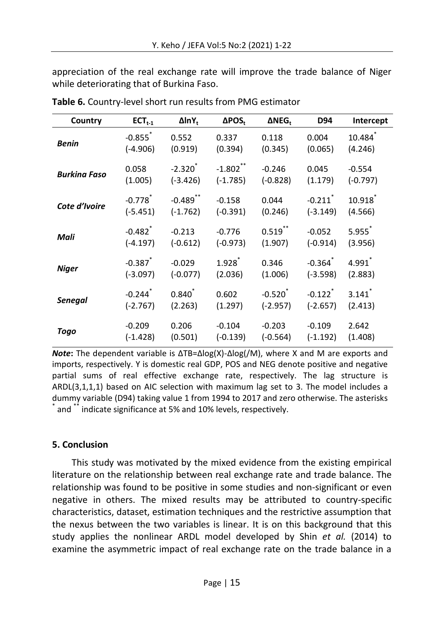appreciation of the real exchange rate will improve the trade balance of Niger while deteriorating that of Burkina Faso.

| Country             | $ECT_{t-1}$           | $\Delta$ lnY <sub>t</sub> | $\Delta$ POS <sub>t</sub> | $\Delta$ NEG <sub>t</sub> | D94                   | Intercept            |
|---------------------|-----------------------|---------------------------|---------------------------|---------------------------|-----------------------|----------------------|
| <b>Benin</b>        | $-0.855$ *            | 0.552                     | 0.337                     | 0.118                     | 0.004                 | 10.484               |
|                     | $(-4.906)$            | (0.919)                   | (0.394)                   | (0.345)                   | (0.065)               | (4.246)              |
| <b>Burkina Faso</b> | 0.058                 | $-2.320^{*}$              | $-1.802$ **               | $-0.246$                  | 0.045                 | $-0.554$             |
|                     | (1.005)               | $(-3.426)$                | $(-1.785)$                | $(-0.828)$                | (1.179)               | $(-0.797)$           |
| Cote d'Ivoire       | $-0.778$ <sup>*</sup> | $-0.489$ **               | $-0.158$                  | 0.044                     | $-0.211$ <sup>*</sup> | 10.918               |
|                     | $(-5.451)$            | $(-1.762)$                | $(-0.391)$                | (0.246)                   | $(-3.149)$            | (4.566)              |
| Mali                | $-0.482$ <sup>*</sup> | $-0.213$                  | $-0.776$                  | $0.519***$                | $-0.052$              | 5.955                |
|                     | $(-4.197)$            | $(-0.612)$                | $(-0.973)$                | (1.907)                   | $(-0.914)$            | (3.956)              |
| <b>Niger</b>        | $-0.387$ *            | $-0.029$                  | $1.928^{*}$               | 0.346                     | $-0.364^{*}$          | $4.991$ <sup>*</sup> |
|                     | $(-3.097)$            | $(-0.077)$                | (2.036)                   | (1.006)                   | $(-3.598)$            | (2.883)              |
| Senegal             | $-0.244$ <sup>*</sup> | $0.840^{*}$               | 0.602                     | $-0.520$                  | $-0.122$ <sup>*</sup> | $3.141$ <sup>*</sup> |
|                     | $(-2.767)$            | (2.263)                   | (1.297)                   | $(-2.957)$                | $(-2.657)$            | (2.413)              |
| Togo                | $-0.209$              | 0.206                     | $-0.104$                  | $-0.203$                  | $-0.109$              | 2.642                |
|                     | $(-1.428)$            | (0.501)                   | $(-0.139)$                | $(-0.564)$                | $(-1.192)$            | (1.408)              |

**Table 6.** Country-level short run results from PMG estimator

*Note***:** The dependent variable is ∆TB=∆log(X)-∆log(/M), where X and M are exports and imports, respectively. Y is domestic real GDP, POS and NEG denote positive and negative partial sums of real effective exchange rate, respectively. The lag structure is ARDL(3,1,1,1) based on AIC selection with maximum lag set to 3. The model includes a dummy variable (D94) taking value 1 from 1994 to 2017 and zero otherwise. The asterisks \* and \*\* indicate significance at 5% and 10% levels, respectively.

# **5. Conclusion**

This study was motivated by the mixed evidence from the existing empirical literature on the relationship between real exchange rate and trade balance. The relationship was found to be positive in some studies and non-significant or even negative in others. The mixed results may be attributed to country-specific characteristics, dataset, estimation techniques and the restrictive assumption that the nexus between the two variables is linear. It is on this background that this study applies the nonlinear ARDL model developed by Shin *et al.* (2014) to examine the asymmetric impact of real exchange rate on the trade balance in a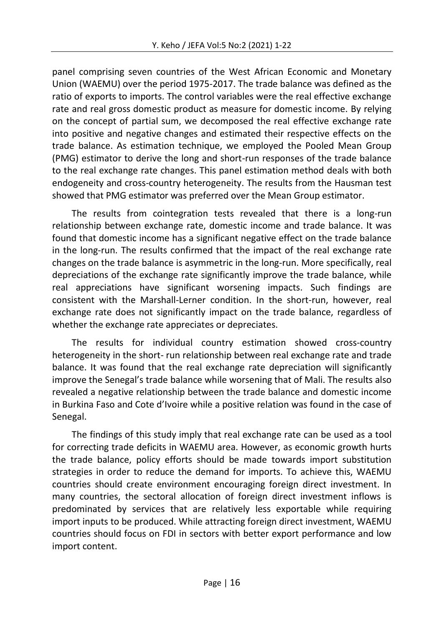panel comprising seven countries of the West African Economic and Monetary Union (WAEMU) over the period 1975-2017. The trade balance was defined as the ratio of exports to imports. The control variables were the real effective exchange rate and real gross domestic product as measure for domestic income. By relying on the concept of partial sum, we decomposed the real effective exchange rate into positive and negative changes and estimated their respective effects on the trade balance. As estimation technique, we employed the Pooled Mean Group (PMG) estimator to derive the long and short-run responses of the trade balance to the real exchange rate changes. This panel estimation method deals with both endogeneity and cross-country heterogeneity. The results from the Hausman test showed that PMG estimator was preferred over the Mean Group estimator.

The results from cointegration tests revealed that there is a long-run relationship between exchange rate, domestic income and trade balance. It was found that domestic income has a significant negative effect on the trade balance in the long-run. The results confirmed that the impact of the real exchange rate changes on the trade balance is asymmetric in the long-run. More specifically, real depreciations of the exchange rate significantly improve the trade balance, while real appreciations have significant worsening impacts. Such findings are consistent with the Marshall-Lerner condition. In the short-run, however, real exchange rate does not significantly impact on the trade balance, regardless of whether the exchange rate appreciates or depreciates.

The results for individual country estimation showed cross-country heterogeneity in the short- run relationship between real exchange rate and trade balance. It was found that the real exchange rate depreciation will significantly improve the Senegal's trade balance while worsening that of Mali. The results also revealed a negative relationship between the trade balance and domestic income in Burkina Faso and Cote d'Ivoire while a positive relation was found in the case of Senegal.

The findings of this study imply that real exchange rate can be used as a tool for correcting trade deficits in WAEMU area. However, as economic growth hurts the trade balance, policy efforts should be made towards import substitution strategies in order to reduce the demand for imports. To achieve this, WAEMU countries should create environment encouraging foreign direct investment. In many countries, the sectoral allocation of foreign direct investment inflows is predominated by services that are relatively less exportable while requiring import inputs to be produced. While attracting foreign direct investment, WAEMU countries should focus on FDI in sectors with better export performance and low import content.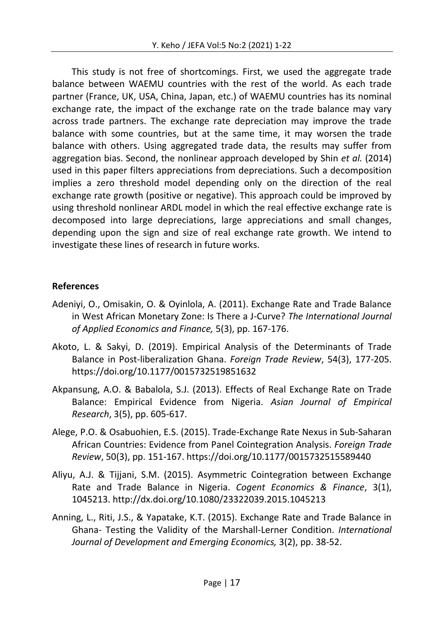This study is not free of shortcomings. First, we used the aggregate trade balance between WAEMU countries with the rest of the world. As each trade partner (France, UK, USA, China, Japan, etc.) of WAEMU countries has its nominal exchange rate, the impact of the exchange rate on the trade balance may vary across trade partners. The exchange rate depreciation may improve the trade balance with some countries, but at the same time, it may worsen the trade balance with others. Using aggregated trade data, the results may suffer from aggregation bias. Second, the nonlinear approach developed by Shin *et al.* (2014) used in this paper filters appreciations from depreciations. Such a decomposition implies a zero threshold model depending only on the direction of the real exchange rate growth (positive or negative). This approach could be improved by using threshold nonlinear ARDL model in which the real effective exchange rate is decomposed into large depreciations, large appreciations and small changes, depending upon the sign and size of real exchange rate growth. We intend to investigate these lines of research in future works.

#### **References**

- Adeniyi, O., Omisakin, O. & Oyinlola, A. (2011). Exchange Rate and Trade Balance in West African Monetary Zone: Is There a J-Curve? *The International Journal of Applied Economics and Finance,* 5(3), pp. 167-176.
- Akoto, L. & Sakyi, D. (2019). Empirical Analysis of the Determinants of Trade Balance in Post-liberalization Ghana. *Foreign Trade Review*, 54(3), 177-205. [https://doi.org/10.1177/0015732519851632](https://doi.org/10.1177%2F0015732519851632)
- Akpansung, A.O. & Babalola, S.J. (2013). Effects of Real Exchange Rate on Trade Balance: Empirical Evidence from Nigeria. *Asian Journal of Empirical Research*, 3(5), pp. 605-617.
- Alege, P.O. & Osabuohien, E.S. (2015). Trade-Exchange Rate Nexus in Sub-Saharan African Countries: Evidence from Panel Cointegration Analysis. *Foreign Trade Review*, 50(3), pp. 151-167[. https://doi.org/10.1177/0015732515589440](https://doi.org/10.1177%2F0015732515589440)
- Aliyu, A.J. & Tijjani, S.M. (2015). Asymmetric Cointegration between Exchange Rate and Trade Balance in Nigeria. *Cogent Economics & Finance*, 3(1), 1045213. http://dx.doi.org/10.1080/23322039.2015.1045213
- Anning, L., Riti, J.S., & Yapatake, K.T. (2015). Exchange Rate and Trade Balance in Ghana- Testing the Validity of the Marshall-Lerner Condition. *International Journal of Development and Emerging Economics,* 3(2), pp. 38-52.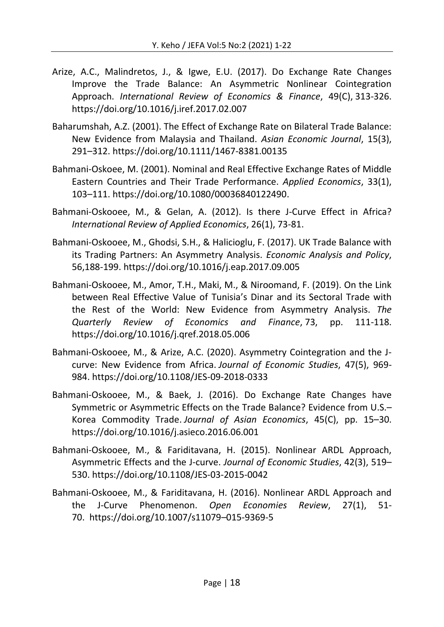- [Arize,](https://www.sciencedirect.com/science/article/pii/S1059056016301939#!) A.C., [Malindretos,](https://www.sciencedirect.com/science/article/pii/S1059056016301939#!) J., & [Igwe,](https://www.sciencedirect.com/science/article/pii/S1059056016301939#!) E.U. (2017). Do Exchange Rate Changes Improve the Trade Balance: An Asymmetric Nonlinear Cointegration Approach. *International Review of Economics & Finance*, [49\(](https://www.sciencedirect.com/science/journal/10590560/49/supp/C)C), 313-326. <https://doi.org/10.1016/j.iref.2017.02.007>
- Baharumshah, A.Z. (2001). The Effect of Exchange Rate on Bilateral Trade Balance: New Evidence from Malaysia and Thailand. *Asian Economic Journal*, 15(3), 291–312. https://doi.org[/10.1111/1467-8381.00135](https://www.researchgate.net/deref/http%3A%2F%2Fdx.doi.org%2F10.1111%2F1467-8381.00135)
- Bahmani-Oskoee, M. (2001). Nominal and Real Effective Exchange Rates of Middle Eastern Countries and Their Trade Performance. *Applied Economics*, 33(1), 103–111. [https://doi.org/10.1080/00036840122490.](https://doi.org/10.1080/00036840122490)
- Bahmani-Oskooee, M., & Gelan, A. (2012). Is there J-Curve Effect in Africa? *International Review of Applied Economics*, 26(1), 73-81.
- Bahmani-Oskooee, M., Ghodsi, S.H., & Halicioglu, F. (2017). UK Trade Balance with its Trading Partners: An Asymmetry Analysis. *Economic Analysis and Policy*, 56,188-199.<https://doi.org/10.1016/j.eap.2017.09.005>
- Bahmani-Oskooee, M., Amor, T.H., Maki, M., & Niroomand, F. (2019). On the Link between Real Effective Value of Tunisia's Dinar and its Sectoral Trade with the Rest of the World: New Evidence from Asymmetry Analysis. *[The](https://www.researchgate.net/journal/The-Quarterly-Review-of-Economics-and-Finance-1062-9769)  [Quarterly Review of Economics and Finance](https://www.researchgate.net/journal/The-Quarterly-Review-of-Economics-and-Finance-1062-9769)*, 73, pp. 111-118. <https://doi.org/10.1016/j.qref.2018.05.006>
- Bahmani-Oskooee, M., & Arize, A.C. (2020). Asymmetry Cointegration and the Jcurve: New Evidence from Africa. *Journal of Economic Studies*, 47(5), 969- 984.<https://doi.org/10.1108/JES-09-2018-0333>
- Bahmani-Oskooee, M., & Baek, J. (2016). [Do Exchange Rate Changes have](https://ideas.repec.org/a/eee/asieco/v45y2016icp15-30.html)  [Symmetric or Asymmetric Effects on the Trade Balance? Evidence from U.S.](https://ideas.repec.org/a/eee/asieco/v45y2016icp15-30.html)– [Korea Commodity Trade.](https://ideas.repec.org/a/eee/asieco/v45y2016icp15-30.html) *[Journal of Asian Economics](https://ideas.repec.org/s/eee/asieco.html)*, 45(C), pp. 15–30. <https://doi.org/10.1016/j.asieco.2016.06.001>
- Bahmani-Oskooee, M., & Fariditavana, H. (2015). Nonlinear ARDL Approach, Asymmetric Effects and the J-curve. *Journal of Economic Studies*, 42(3), 519– 530. https://doi.org[/10.1108/JES-03-2015-0042](https://www.researchgate.net/deref/http%3A%2F%2Fdx.doi.org%2F10.1108%2FJES-03-2015-0042)
- Bahmani-Oskooee, M., & Fariditavana, H. (2016). Nonlinear ARDL Approach and the J-Curve Phenomenon. *Open Economies Review*, 27(1), 51- 70. https://doi.org[/10.1007/s11079](https://econpapers.repec.org/scripts/redir.pf?u=https%3A%2F%2Fdoi.org%2F10.1007%252Fs11079-015-9369-5;h=repec:kap:openec:v:27:y:2016:i:1:p:51-70)–015-9369-5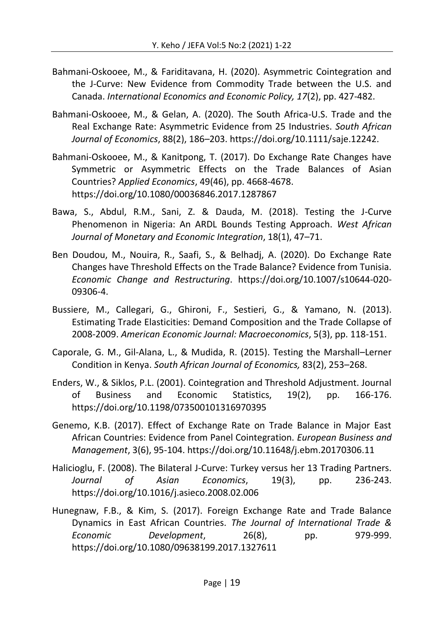- Bahmani-Oskooee, M., & Fariditavana, H. (2020). Asymmetric Cointegration and the J-Curve: New Evidence from Commodity Trade between the U.S. and Canada. *International Economics and Economic Policy, 17*(2), pp. 427-482.
- Bahmani-Oskooee, M., & Gelan, A. (2020). The South Africa-U.S. Trade and the Real Exchange Rate: Asymmetric Evidence from 25 Industries. *South African Journal of Economics*, 88(2), 186–203. https://doi.org[/10.1111/saje.](https://econpapers.repec.org/scripts/redir.pf?u=https%3A%2F%2Fdoi.org%2F10.1007%252Fs11079-015-9369-5;h=repec:kap:openec:v:27:y:2016:i:1:p:51-70)12242.
- Bahmani-Oskooee, M., & Kanitpong, T. (2017). Do Exchange Rate Changes have Symmetric or Asymmetric Effects on the Trade Balances of Asian Countries? *Applied Economics*, 49(46), pp. 4668-4678. https://doi.org/10.1080/00036846.2017.1287867
- Bawa, S., Abdul, R.M., Sani, Z. & Dauda, M. (2018). Testing the J-Curve Phenomenon in Nigeria: An ARDL Bounds Testing Approach. *West African Journal of Monetary and Economic Integration*, 18(1), 47–71.
- Ben Doudou, M., Nouira, R., Saafi, S., & Belhadj, A. (2020). Do Exchange Rate Changes have Threshold Effects on the Trade Balance? Evidence from Tunisia. *Economic Change and Restructuring*. https://doi.org/10.1007/s10644-020- 09306-4.
- Bussiere, M., Callegari, G., Ghironi, F., Sestieri, G., & Yamano, N. (2013). Estimating Trade Elasticities: Demand Composition and the Trade Collapse of 2008-2009. *American Economic Journal: Macroeconomics*, 5(3), pp. 118-151.
- Caporale, G. M., Gil-Alana, L., & Mudida, R. (2015). Testing the Marshall–Lerner Condition in Kenya. *South African Journal of Economics,* 83(2), 253–268.
- Enders, W., & Siklos, P.L. (2001). Cointegration and Threshold Adjustment. Journal of Business and Economic Statistics, 19(2), pp. 166-176. https://doi.org/10.1198/073500101316970395
- Genemo, K.B. (2017). Effect of Exchange Rate on Trade Balance in Major East African Countries: Evidence from Panel Cointegration. *European Business and Management*, 3(6), 95-104.<https://doi.org/10.11648/j.ebm.20170306.11>
- Halicioglu, F. (2008). The Bilateral J-Curve: Turkey versus her 13 Trading Partners. *Journal of Asian Economics*, 19(3), pp. 236-243. <https://doi.org/10.1016/j.asieco.2008.02.006>
- Hunegnaw, F.B., & Kim, S. (2017). Foreign Exchange Rate and Trade Balance Dynamics in East African Countries. *The Journal of International Trade & Economic Development*, 26(8), pp. 979-999. https://doi.org/10.1080/09638199.2017.1327611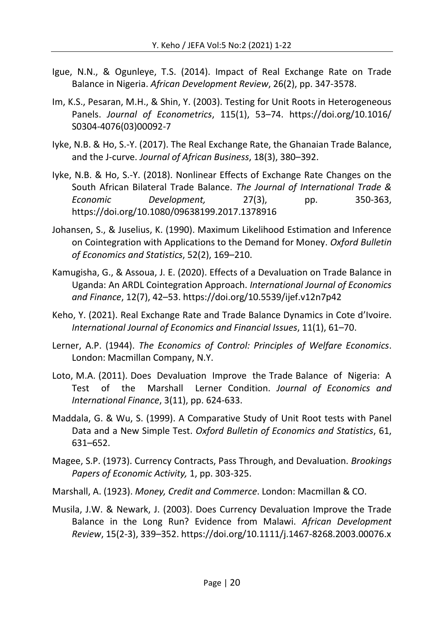- Igue, N.N., & Ogunleye, T.S. (2014). Impact of Real Exchange Rate on Trade Balance in Nigeria. *African Development Review*, 26(2), pp. 347-3578.
- Im, K.S., Pesaran, M.H., & Shin, Y. (2003). Testing for Unit Roots in Heterogeneous Panels. *Journal of Econometrics*, 115(1), 53–74. https://doi.org/10.1016/ S0304-4076(03)00092-7
- Iyke, N.B. & Ho, S.-Y. (2017). The Real Exchange Rate, the Ghanaian Trade Balance, and the J-curve. *Journal of African Business*, 18(3), 380–392.
- Iyke, N.B. & Ho, S.-Y. (2018). Nonlinear Effects of Exchange Rate Changes on the South African Bilateral Trade Balance. *The Journal of International Trade & Economic Development,* 27(3), pp. 350-363, https://doi.org/10.1080/09638199.2017.1378916
- Johansen, S., & Juselius, K. (1990). Maximum Likelihood Estimation and Inference on Cointegration with Applications to the Demand for Money. *Oxford Bulletin of Economics and Statistics*, 52(2), 169–210.
- Kamugisha, G., & Assoua, J. E. (2020). Effects of a Devaluation on Trade Balance in Uganda: An ARDL Cointegration Approach. *International Journal of Economics and Finance*, 12(7), 42–53. https://doi.org/10.5539/ijef.v12n7p42
- Keho, Y. (2021). Real Exchange Rate and Trade Balance Dynamics in Cote d'Ivoire. *International Journal of Economics and Financial Issues*, 11(1), 61–70.
- Lerner, A.P. (1944). *The Economics of Control: Principles of Welfare Economics*. London: Macmillan Company, N.Y.
- Loto, M.A. (2011). Does Devaluation Improve the Trade Balance of Nigeria: A Test of the Marshall Lerner Condition. *Journal of Economics and International Finance*, 3(11), pp. 624-633.
- Maddala, G. & Wu, S. (1999). A Comparative Study of Unit Root tests with Panel Data and a New Simple Test. *Oxford Bulletin of Economics and Statistics*, 61, 631–652.
- Magee, S.P. (1973). Currency Contracts, Pass Through, and Devaluation. *Brookings Papers of Economic Activity,* 1, pp. 303-325.
- Marshall, A. (1923). *Money, Credit and Commerce*. London: Macmillan & CO.
- Musila, J.W. & Newark, J. (2003). Does Currency Devaluation Improve the Trade Balance in the Long Run? Evidence from Malawi. *[African Development](https://www.researchgate.net/journal/1467-8268_African_Development_Review)  [Review](https://www.researchgate.net/journal/1467-8268_African_Development_Review)*, 15(2‐3), 339–352. https://doi.org[/10.1111/j.1467-8268.2003.00076.x](https://www.researchgate.net/deref/http%3A%2F%2Fdx.doi.org%2F10.1111%2Fj.1467-8268.2003.00076.x)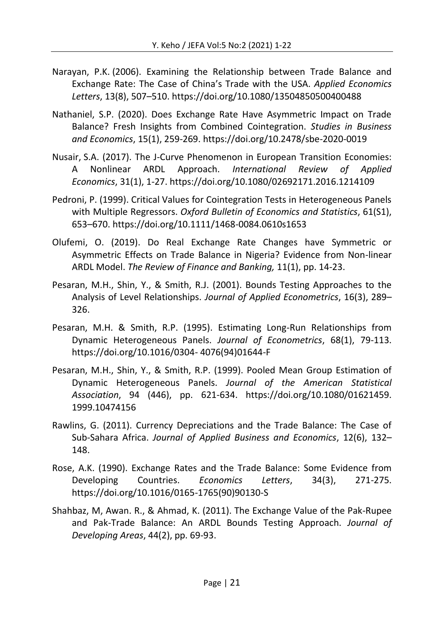- Narayan, P.K. (2006). Examining the Relationship between Trade Balance and Exchange Rate: The Case of China's Trade with the USA. *Applied Economics Letters*, 13(8), 507–510. https://doi.org[/10.1080/13504850500400488](https://doi.org/10.1080/13504850500400488)
- Nathaniel, S.P. (2020). Does Exchange Rate Have Asymmetric Impact on Trade Balance? Fresh Insights from Combined Cointegration. *Studies in Business and Economics*[, 15\(1\)](https://content.sciendo.com/view/journals/sbe/15/1/sbe.15.issue-1.xml), 259-269.<https://doi.org/10.2478/sbe-2020-0019>
- Nusair, S.A. (2017). The J-Curve Phenomenon in European Transition Economies: A Nonlinear ARDL Approach. *International Review of Applied Economics*, 31(1), 1-27.<https://doi.org/10.1080/02692171.2016.1214109>
- Pedroni, P. (1999). Critical Values for Cointegration Tests in Heterogeneous Panels with Multiple Regressors. *Oxford Bulletin of Economics and Statistics*, 61(S1), 653–670.<https://doi.org/10.1111/1468-0084.0610s1653>
- Olufemi, O. (2019). [Do Real Exchange Rate Changes have Symmetric or](https://ideas.repec.org/a/rfb/journl/v11y2019i1p14-23.html)  [Asymmetric Effects on Trade Balance in Nigeria? Evidence from Non-linear](https://ideas.repec.org/a/rfb/journl/v11y2019i1p14-23.html)  [ARDL Model.](https://ideas.repec.org/a/rfb/journl/v11y2019i1p14-23.html) *[The Review of Finance and Banking,](https://ideas.repec.org/s/rfb/journl.html)* 11(1), pp. 14-23.
- Pesaran, M.H., Shin, Y., & Smith, R.J. (2001). Bounds Testing Approaches to the Analysis of Level Relationships. *Journal of Applied Econometrics*, 16(3), 289– 326.
- Pesaran, M.H. & Smith, R.P. (1995). Estimating Long-Run Relationships from Dynamic Heterogeneous Panels. *Journal of Econometrics*, 68(1), 79-113. https://doi.org/10.1016/0304- 4076(94)01644-F
- Pesaran, M.H., Shin, Y., & Smith, R.P. (1999). Pooled Mean Group Estimation of Dynamic Heterogeneous Panels. *Journal of the American Statistical Association*, 94 (446), pp. 621-634. https://doi.org/10.1080/01621459. 1999.10474156
- Rawlins, G. (2011). Currency Depreciations and the Trade Balance: The Case of Sub-Sahara Africa. *Journal of Applied Business and Economics*, 12(6), 132– 148.
- Rose, A.K. (1990). Exchange Rates and the Trade Balance: Some Evidence from Developing Countries. *Economics Letters*, 34(3), 271-275. https://doi.org/10.1016/0165-1765(90)90130-S
- Shahbaz, M, Awan. R., & Ahmad, K. (2011). The Exchange Value of the Pak-Rupee and Pak-Trade Balance: An ARDL Bounds Testing Approach. *Journal of Developing Areas*, 44(2), pp. 69-93.